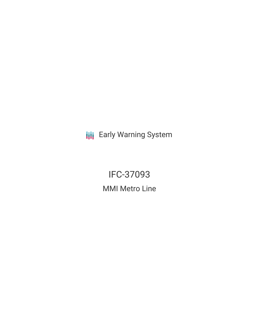**III** Early Warning System

IFC-37093 MMI Metro Line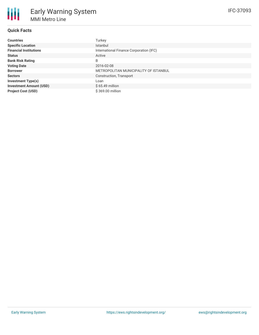## **Quick Facts**

| <b>Countries</b>               | Turkey                                  |
|--------------------------------|-----------------------------------------|
| <b>Specific Location</b>       | Istanbul                                |
| <b>Financial Institutions</b>  | International Finance Corporation (IFC) |
| <b>Status</b>                  | Active                                  |
| <b>Bank Risk Rating</b>        | B                                       |
| <b>Voting Date</b>             | 2016-02-08                              |
| <b>Borrower</b>                | METROPOLITAN MUNICIPALITY OF ISTANBUL   |
| <b>Sectors</b>                 | Construction, Transport                 |
| <b>Investment Type(s)</b>      | Loan                                    |
| <b>Investment Amount (USD)</b> | $$65.49$ million                        |
| <b>Project Cost (USD)</b>      | \$369.00 million                        |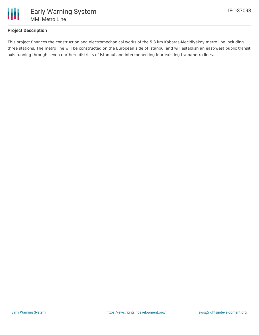

### **Project Description**

This project finances the construction and electromechanical works of the 5.3 km Kabatas-Mecidiyekoy metro line including three stations. The metro line will be constructed on the European side of Istanbul and will establish an east-west public transit axis running through seven northern districts of Istanbul and interconnecting four existing tram/metro lines.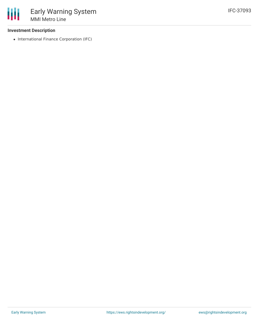### **Investment Description**

• International Finance Corporation (IFC)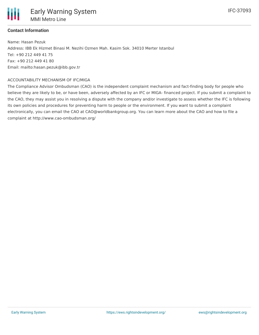

# **Contact Information**

Name: Hasan Pezuk Address: IBB Ek Hizmet Binasi M. Nezihi Ozmen Mah. Kasim Sok. 34010 Merter Istanbul Tel: +90 212 449 41 75 Fax: +90 212 449 41 80 Email: mailto:hasan.pezuk@ibb.gov.tr

### ACCOUNTABILITY MECHANISM OF IFC/MIGA

The Compliance Advisor Ombudsman (CAO) is the independent complaint mechanism and fact-finding body for people who believe they are likely to be, or have been, adversely affected by an IFC or MIGA- financed project. If you submit a complaint to the CAO, they may assist you in resolving a dispute with the company and/or investigate to assess whether the IFC is following its own policies and procedures for preventing harm to people or the environment. If you want to submit a complaint electronically, you can email the CAO at CAO@worldbankgroup.org. You can learn more about the CAO and how to file a complaint at http://www.cao-ombudsman.org/